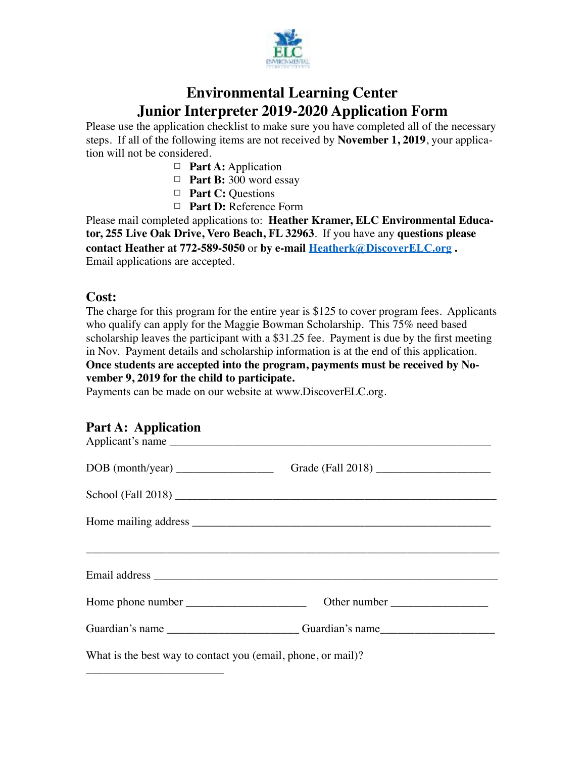

# **Environmental Learning Center Junior Interpreter 2019-2020 Application Form**

Please use the application checklist to make sure you have completed all of the necessary steps. If all of the following items are not received by **November 1, 2019**, your application will not be considered.

- □ **Part A:** Application
- 䡦 **Part B:** 300 word essay
- 䡦 **Part C:** Questions
- □ **Part D:** Reference Form

Please mail completed applications to: **Heather Kramer, ELC Environmental Educator, 255 Live Oak Drive, Vero Beach, FL 32963**. If you have any **questions please contact Heather at 772-589-5050** or **by e-mail [Heatherk@DiscoverELC.org](http://HeatherK@DiscoverELC.org) .**  Email applications are accepted.

#### **Cost:**

The charge for this program for the entire year is \$125 to cover program fees. Applicants who qualify can apply for the Maggie Bowman Scholarship. This 75% need based scholarship leaves the participant with a \$31.25 fee. Payment is due by the first meeting in Nov. Payment details and scholarship information is at the end of this application. **Once students are accepted into the program, payments must be received by November 9, 2019 for the child to participate.**

Payments can be made on our website at www.DiscoverELC.org.

### **Part A: Application**

\_\_\_\_\_\_\_\_\_\_\_\_\_\_\_\_\_\_\_\_\_\_\_\_

| DOB (month/year)                                                                                                       |                                                                                  |
|------------------------------------------------------------------------------------------------------------------------|----------------------------------------------------------------------------------|
|                                                                                                                        |                                                                                  |
|                                                                                                                        |                                                                                  |
| <u> 1990 - Jan James Sandarík, fyrir stjórnar og fyrir stjórnar og fyrir stjórnar og fyrir stjórnar og fyrir stjór</u> |                                                                                  |
|                                                                                                                        |                                                                                  |
|                                                                                                                        |                                                                                  |
|                                                                                                                        | Guardian's name _________________________Guardian's name________________________ |
| What is the best way to contact you (email, phone, or mail)?                                                           |                                                                                  |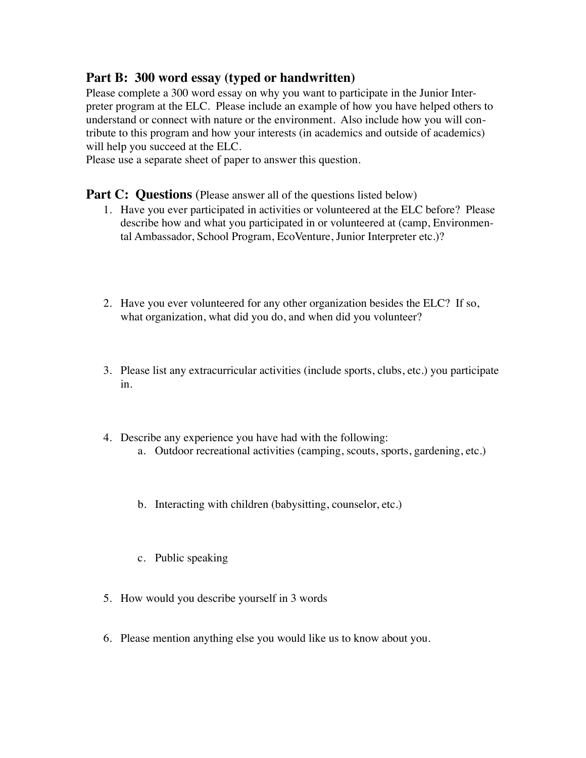## **Part B: 300 word essay (typed or handwritten)**

Please complete a 300 word essay on why you want to participate in the Junior Interpreter program at the ELC. Please include an example of how you have helped others to understand or connect with nature or the environment. Also include how you will contribute to this program and how your interests (in academics and outside of academics) will help you succeed at the ELC.

Please use a separate sheet of paper to answer this question.

#### **Part C: Questions** (Please answer all of the questions listed below)

- 1. Have you ever participated in activities or volunteered at the ELC before? Please describe how and what you participated in or volunteered at (camp, Environmental Ambassador, School Program, EcoVenture, Junior Interpreter etc.)?
- 2. Have you ever volunteered for any other organization besides the ELC? If so, what organization, what did you do, and when did you volunteer?
- 3. Please list any extracurricular activities (include sports, clubs, etc.) you participate in.
- 4. Describe any experience you have had with the following: a. Outdoor recreational activities (camping, scouts, sports, gardening, etc.)
	- b. Interacting with children (babysitting, counselor, etc.)
	- c. Public speaking
- 5. How would you describe yourself in 3 words
- 6. Please mention anything else you would like us to know about you.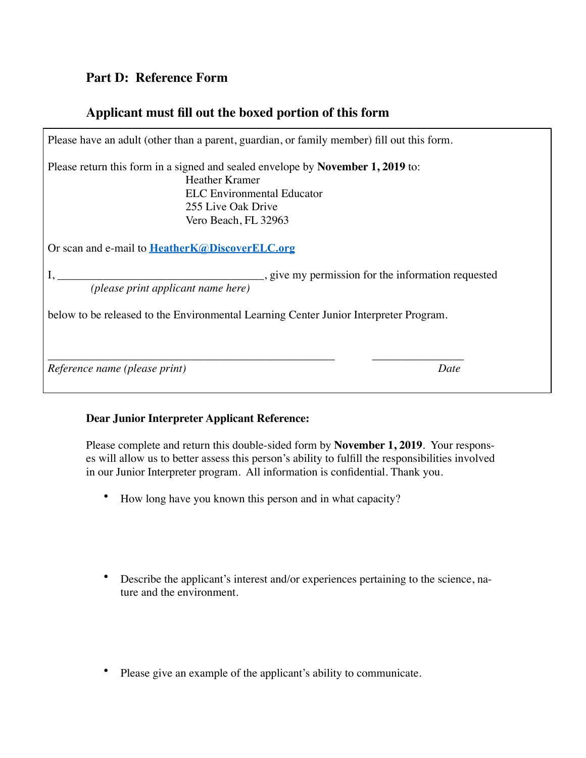# **Part D: Reference Form**

# **Applicant must fill out the boxed portion of this form**

| Please have an adult (other than a parent, guardian, or family member) fill out this form.                                                                                                  |  |
|---------------------------------------------------------------------------------------------------------------------------------------------------------------------------------------------|--|
| Please return this form in a signed and sealed envelope by November 1, 2019 to:<br><b>Heather Kramer</b><br><b>ELC</b> Environmental Educator<br>255 Live Oak Drive<br>Vero Beach, FL 32963 |  |
| Or scan and e-mail to <b>HeatherK@DiscoverELC.org</b>                                                                                                                                       |  |
| give my permission for the information requested<br>(please print applicant name here)                                                                                                      |  |
| below to be released to the Environmental Learning Center Junior Interpreter Program.                                                                                                       |  |
| Reference name (please print)<br>Date                                                                                                                                                       |  |

### **Dear Junior Interpreter Applicant Reference:**

Please complete and return this double-sided form by **November 1, 2019**. Your responses will allow us to better assess this person's ability to fulfill the responsibilities involved in our Junior Interpreter program. All information is confidential. Thank you.

- How long have you known this person and in what capacity?
- Describe the applicant's interest and/or experiences pertaining to the science, nature and the environment.
- Please give an example of the applicant's ability to communicate.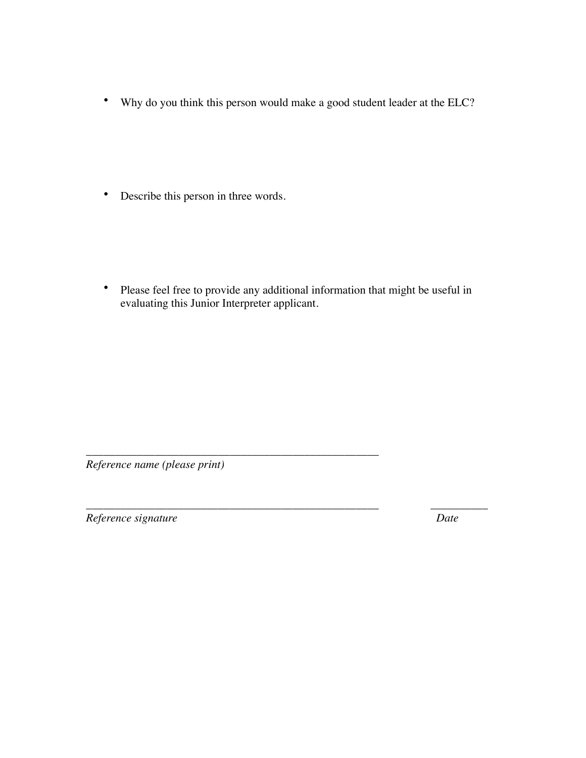• Why do you think this person would make a good student leader at the ELC?

• Describe this person in three words.

• Please feel free to provide any additional information that might be useful in evaluating this Junior Interpreter applicant.

\_\_\_\_\_\_\_\_\_\_\_\_\_\_\_\_\_\_\_\_\_\_\_\_\_\_\_\_\_\_\_\_\_\_\_\_\_\_\_\_\_\_\_\_\_\_\_\_\_\_\_ \_\_\_\_\_\_\_\_\_\_

*Reference name (please print)* 

\_\_\_\_\_\_\_\_\_\_\_\_\_\_\_\_\_\_\_\_\_\_\_\_\_\_\_\_\_\_\_\_\_\_\_\_\_\_\_\_\_\_\_\_\_\_\_\_\_\_\_

*Reference signature Date*